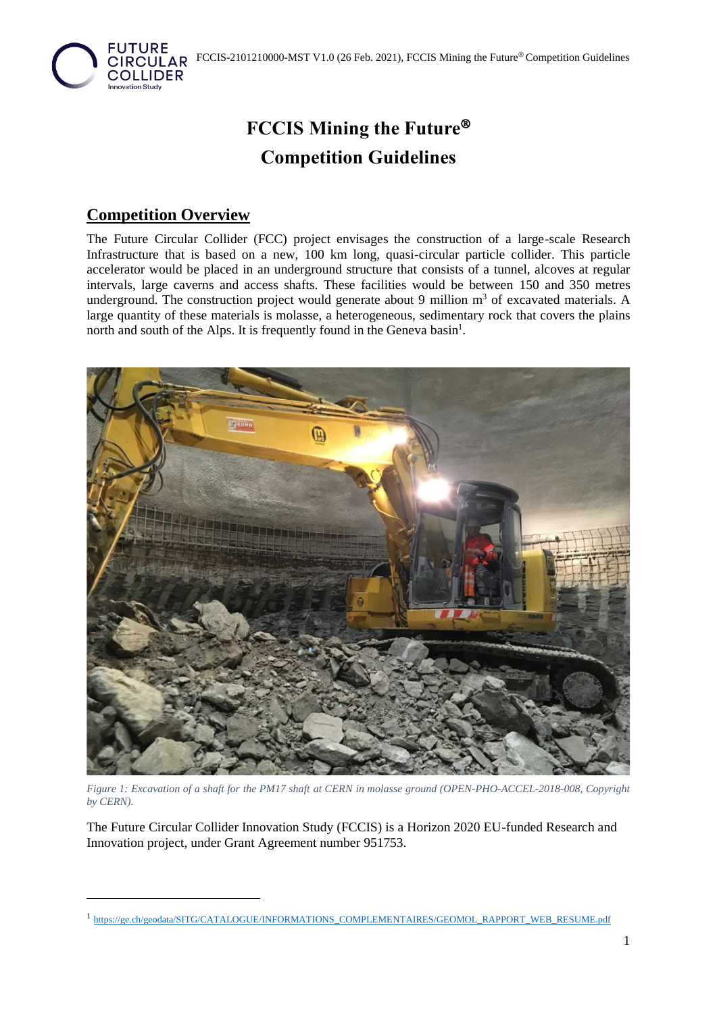

# **FCCIS Mining the Future Competition Guidelines**

### **Competition Overview**

The Future Circular Collider (FCC) project envisages the construction of a large-scale Research Infrastructure that is based on a new, 100 km long, quasi-circular particle collider. This particle accelerator would be placed in an underground structure that consists of a tunnel, alcoves at regular intervals, large caverns and access shafts. These facilities would be between 150 and 350 metres underground. The construction project would generate about 9 million  $m<sup>3</sup>$  of excavated materials. A large quantity of these materials is molasse, a heterogeneous, sedimentary rock that covers the plains north and south of the Alps. It is frequently found in the Geneva basin<sup>1</sup>.



*Figure 1: Excavation of a shaft for the PM17 shaft at CERN in molasse ground (OPEN-PHO-ACCEL-2018-008, Copyright by CERN).*

The Future Circular Collider Innovation Study (FCCIS) is a Horizon 2020 EU-funded Research and Innovation project, under Grant Agreement number 951753.

<sup>&</sup>lt;sup>1</sup> [https://ge.ch/geodata/SITG/CATALOGUE/INFORMATIONS\\_COMPLEMENTAIRES/GEOMOL\\_RAPPORT\\_WEB\\_RESUME.pdf](https://ge.ch/geodata/SITG/CATALOGUE/INFORMATIONS_COMPLEMENTAIRES/GEOMOL_RAPPORT_WEB_RESUME.pdf)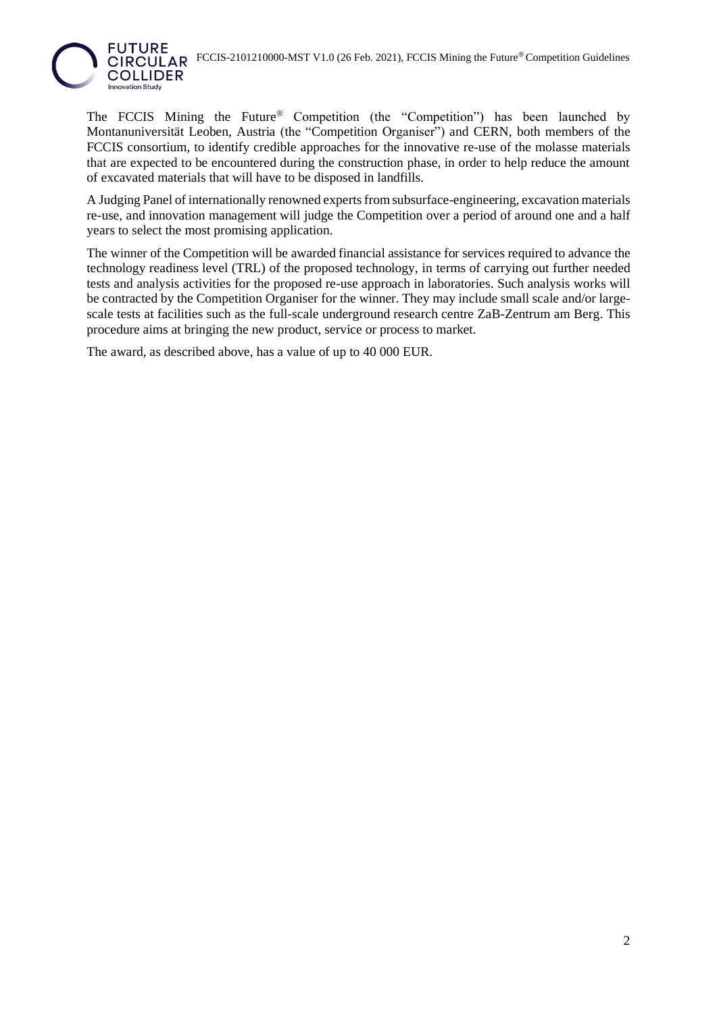

The FCCIS Mining the Future<sup>®</sup> Competition (the "Competition") has been launched by Montanuniversität Leoben, Austria (the "Competition Organiser") and CERN, both members of the FCCIS consortium, to identify credible approaches for the innovative re-use of the molasse materials that are expected to be encountered during the construction phase, in order to help reduce the amount of excavated materials that will have to be disposed in landfills.

A Judging Panel of internationally renowned experts from subsurface-engineering, excavation materials re-use, and innovation management will judge the Competition over a period of around one and a half years to select the most promising application.

The winner of the Competition will be awarded financial assistance for services required to advance the technology readiness level (TRL) of the proposed technology, in terms of carrying out further needed tests and analysis activities for the proposed re-use approach in laboratories. Such analysis works will be contracted by the Competition Organiser for the winner. They may include small scale and/or largescale tests at facilities such as the full-scale underground research centre ZaB-Zentrum am Berg. This procedure aims at bringing the new product, service or process to market.

The award, as described above, has a value of up to 40 000 EUR.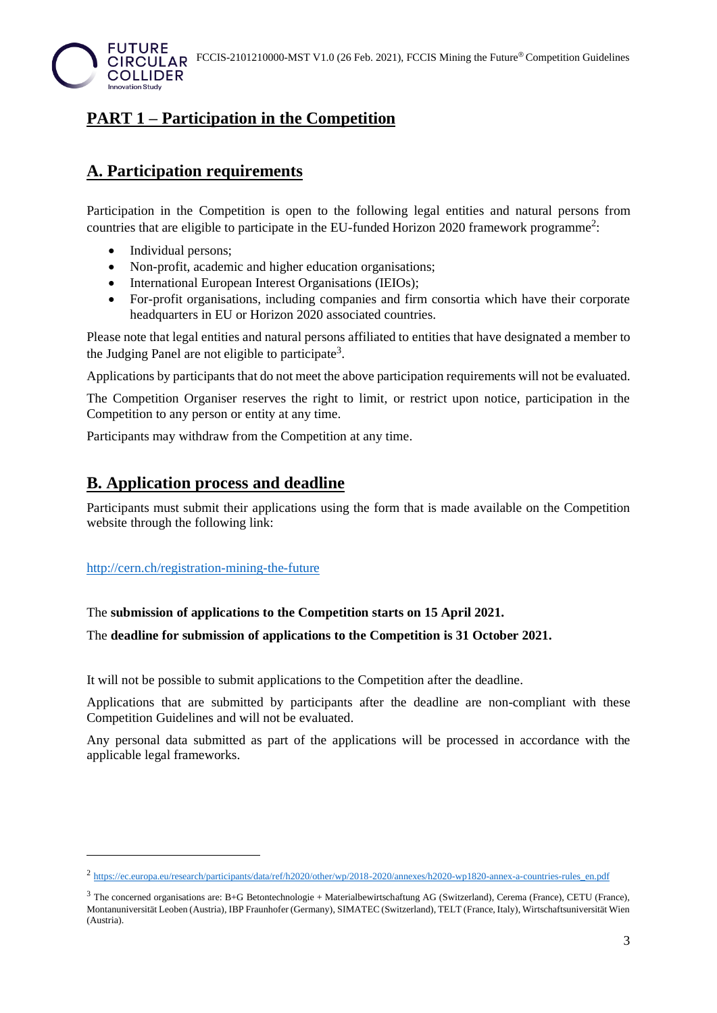

### **PART 1 – Participation in the Competition**

### **A. Participation requirements**

Participation in the Competition is open to the following legal entities and natural persons from countries that are eligible to participate in the EU-funded Horizon 2020 framework programme<sup>2</sup>:

- Individual persons;
- Non-profit, academic and higher education organisations;
- International European Interest Organisations (IEIOs);
- For-profit organisations, including companies and firm consortia which have their corporate headquarters in EU or Horizon 2020 associated countries.

Please note that legal entities and natural persons affiliated to entities that have designated a member to the Judging Panel are not eligible to participate<sup>3</sup>.

Applications by participants that do not meet the above participation requirements will not be evaluated.

The Competition Organiser reserves the right to limit, or restrict upon notice, participation in the Competition to any person or entity at any time.

Participants may withdraw from the Competition at any time.

#### **B. Application process and deadline**

Participants must submit their applications using the form that is made available on the Competition website through the following link:

#### <http://cern.ch/registration-mining-the-future>

#### The **submission of applications to the Competition starts on 15 April 2021.**

The **deadline for submission of applications to the Competition is 31 October 2021.**

It will not be possible to submit applications to the Competition after the deadline.

Applications that are submitted by participants after the deadline are non-compliant with these Competition Guidelines and will not be evaluated.

Any personal data submitted as part of the applications will be processed in accordance with the applicable legal frameworks.

<sup>&</sup>lt;sup>2</sup> [https://ec.europa.eu/research/participants/data/ref/h2020/other/wp/2018-2020/annexes/h2020-wp1820-annex-a-countries-rules\\_en.pdf](https://ec.europa.eu/research/participants/data/ref/h2020/other/wp/2018-2020/annexes/h2020-wp1820-annex-a-countries-rules_en.pdf)

<sup>3</sup> The concerned organisations are: B+G Betontechnologie + Materialbewirtschaftung AG (Switzerland), Cerema (France), CETU (France), Montanuniversität Leoben (Austria), IBP Fraunhofer (Germany), SIMATEC (Switzerland), TELT (France, Italy), Wirtschaftsuniversität Wien (Austria).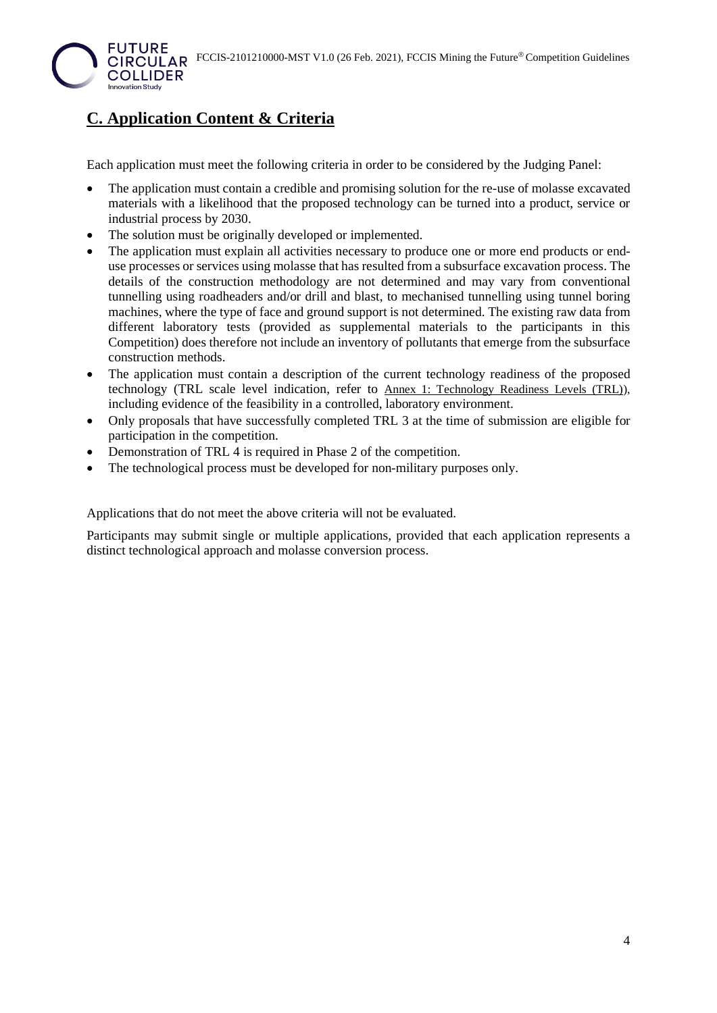

# **C. Application Content & Criteria**

Each application must meet the following criteria in order to be considered by the Judging Panel:

- The application must contain a credible and promising solution for the re-use of molasse excavated materials with a likelihood that the proposed technology can be turned into a product, service or industrial process by 2030.
- The solution must be originally developed or implemented.
- The application must explain all activities necessary to produce one or more end products or enduse processes or services using molasse that has resulted from a subsurface excavation process. The details of the construction methodology are not determined and may vary from conventional tunnelling using roadheaders and/or drill and blast, to mechanised tunnelling using tunnel boring machines, where the type of face and ground support is not determined. The existing raw data from different laboratory tests (provided as supplemental materials to the participants in this Competition) does therefore not include an inventory of pollutants that emerge from the subsurface construction methods.
- The application must contain a description of the current technology readiness of the proposed technology (TRL scale level indication, refer to [Annex 1: Technology Readiness Levels \(TRL\)\)](#page-9-0), including evidence of the feasibility in a controlled, laboratory environment.
- Only proposals that have successfully completed TRL 3 at the time of submission are eligible for participation in the competition.
- Demonstration of TRL 4 is required in Phase 2 of the competition.
- The technological process must be developed for non-military purposes only.

Applications that do not meet the above criteria will not be evaluated.

Participants may submit single or multiple applications, provided that each application represents a distinct technological approach and molasse conversion process.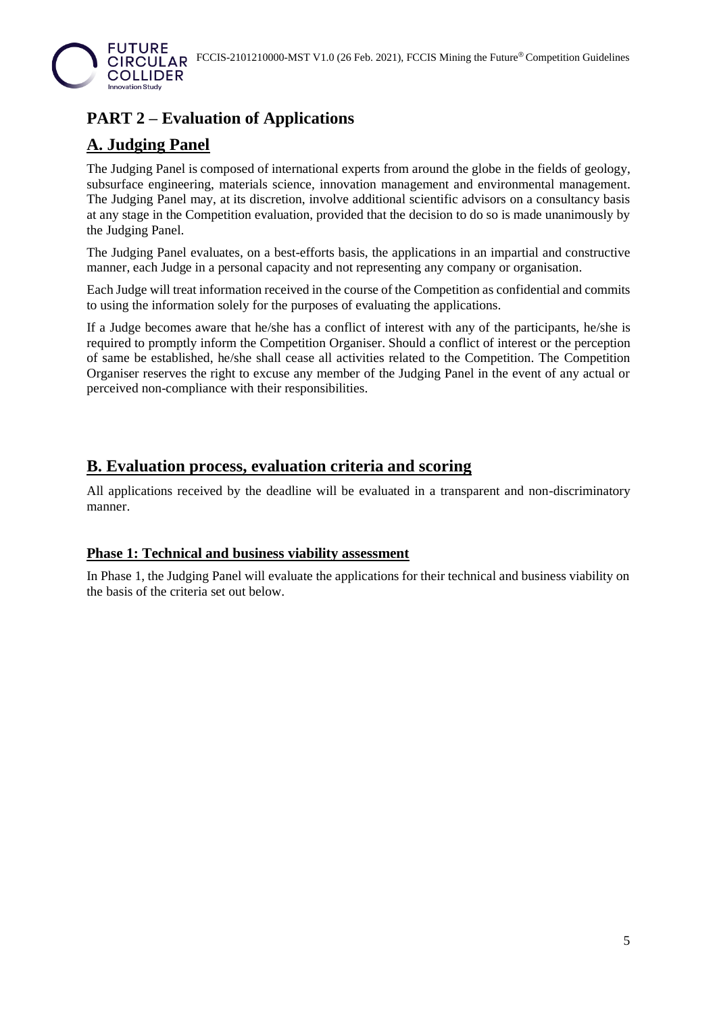

# **PART 2 – Evaluation of Applications**

### **A. Judging Panel**

The Judging Panel is composed of international experts from around the globe in the fields of geology, subsurface engineering, materials science, innovation management and environmental management. The Judging Panel may, at its discretion, involve additional scientific advisors on a consultancy basis at any stage in the Competition evaluation, provided that the decision to do so is made unanimously by the Judging Panel.

The Judging Panel evaluates, on a best-efforts basis, the applications in an impartial and constructive manner, each Judge in a personal capacity and not representing any company or organisation.

Each Judge will treat information received in the course of the Competition as confidential and commits to using the information solely for the purposes of evaluating the applications.

If a Judge becomes aware that he/she has a conflict of interest with any of the participants, he/she is required to promptly inform the Competition Organiser. Should a conflict of interest or the perception of same be established, he/she shall cease all activities related to the Competition. The Competition Organiser reserves the right to excuse any member of the Judging Panel in the event of any actual or perceived non-compliance with their responsibilities.

### **B. Evaluation process, evaluation criteria and scoring**

All applications received by the deadline will be evaluated in a transparent and non-discriminatory manner.

#### **Phase 1: Technical and business viability assessment**

In Phase 1, the Judging Panel will evaluate the applications for their technical and business viability on the basis of the criteria set out below.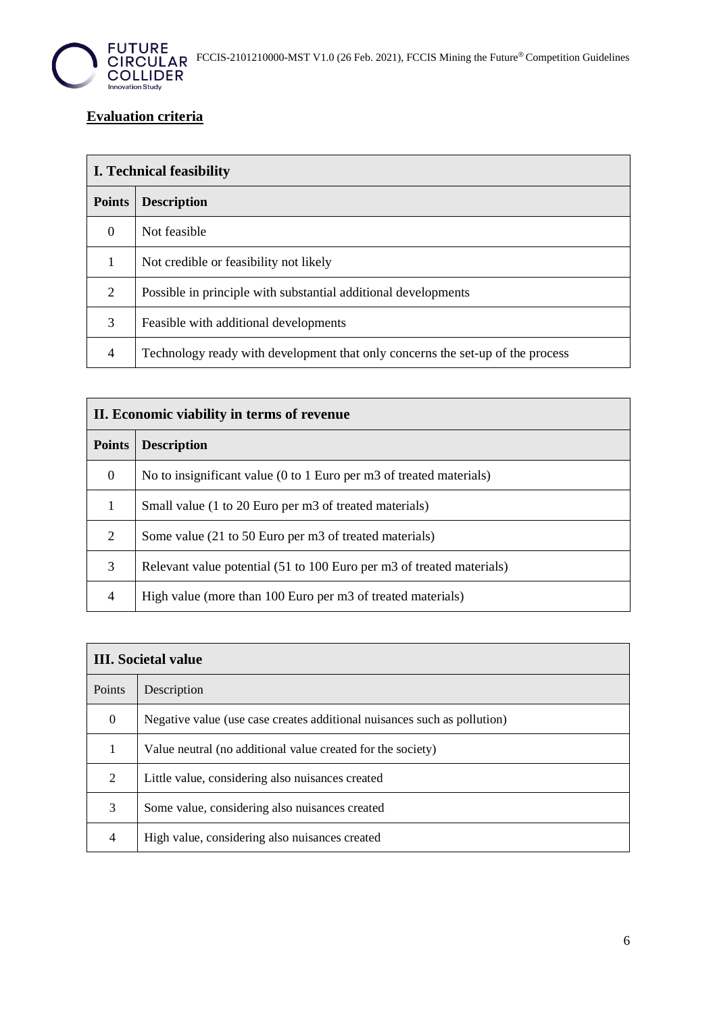

#### **Evaluation criteria**

| <b>I.</b> Technical feasibility |                                                                                |  |
|---------------------------------|--------------------------------------------------------------------------------|--|
| <b>Points</b>                   | <b>Description</b>                                                             |  |
| $\Omega$                        | Not feasible                                                                   |  |
| 1                               | Not credible or feasibility not likely                                         |  |
| $\overline{2}$                  | Possible in principle with substantial additional developments                 |  |
| 3                               | Feasible with additional developments                                          |  |
| $\overline{4}$                  | Technology ready with development that only concerns the set-up of the process |  |

| II. Economic viability in terms of revenue |                                                                       |  |
|--------------------------------------------|-----------------------------------------------------------------------|--|
| <b>Points</b>                              | <b>Description</b>                                                    |  |
| $\theta$                                   | No to insignificant value (0 to 1 Euro per m3 of treated materials)   |  |
| 1                                          | Small value (1 to 20 Euro per m3 of treated materials)                |  |
| 2                                          | Some value (21 to 50 Euro per m3 of treated materials)                |  |
| 3                                          | Relevant value potential (51 to 100 Euro per m3 of treated materials) |  |
| 4                                          | High value (more than 100 Euro per m3 of treated materials)           |  |

| <b>III.</b> Societal value |                                                                          |  |
|----------------------------|--------------------------------------------------------------------------|--|
| Points                     | Description                                                              |  |
| $\boldsymbol{0}$           | Negative value (use case creates additional nuisances such as pollution) |  |
| 1                          | Value neutral (no additional value created for the society)              |  |
| 2                          | Little value, considering also nuisances created                         |  |
| 3                          | Some value, considering also nuisances created                           |  |
| $\overline{4}$             | High value, considering also nuisances created                           |  |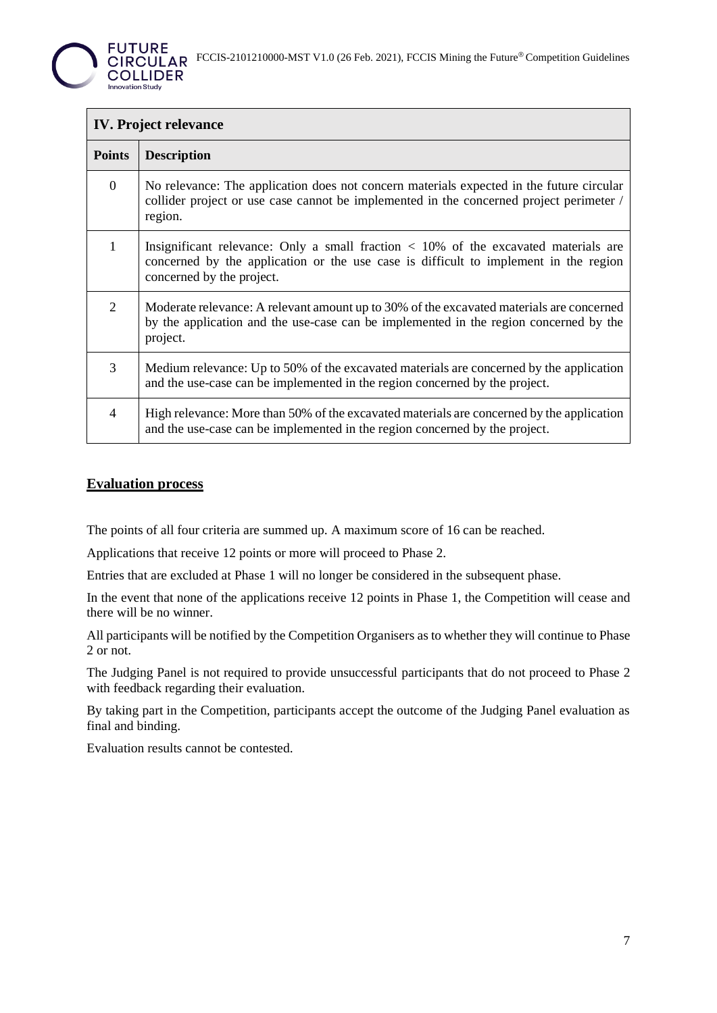

| <b>IV.</b> Project relevance |                                                                                                                                                                                                              |  |
|------------------------------|--------------------------------------------------------------------------------------------------------------------------------------------------------------------------------------------------------------|--|
| <b>Points</b>                | <b>Description</b>                                                                                                                                                                                           |  |
| $\overline{0}$               | No relevance: The application does not concern materials expected in the future circular<br>collider project or use case cannot be implemented in the concerned project perimeter /<br>region.               |  |
| $\mathbf{1}$                 | Insignificant relevance: Only a small fraction $\lt$ 10% of the excavated materials are<br>concerned by the application or the use case is difficult to implement in the region<br>concerned by the project. |  |
| 2                            | Moderate relevance: A relevant amount up to 30% of the excavated materials are concerned<br>by the application and the use-case can be implemented in the region concerned by the<br>project.                |  |
| 3                            | Medium relevance: Up to 50% of the excavated materials are concerned by the application<br>and the use-case can be implemented in the region concerned by the project.                                       |  |
| 4                            | High relevance: More than 50% of the excavated materials are concerned by the application<br>and the use-case can be implemented in the region concerned by the project.                                     |  |

#### **Evaluation process**

The points of all four criteria are summed up. A maximum score of 16 can be reached.

Applications that receive 12 points or more will proceed to Phase 2.

Entries that are excluded at Phase 1 will no longer be considered in the subsequent phase.

In the event that none of the applications receive 12 points in Phase 1, the Competition will cease and there will be no winner.

All participants will be notified by the Competition Organisers as to whether they will continue to Phase 2 or not.

The Judging Panel is not required to provide unsuccessful participants that do not proceed to Phase 2 with feedback regarding their evaluation.

By taking part in the Competition, participants accept the outcome of the Judging Panel evaluation as final and binding.

Evaluation results cannot be contested.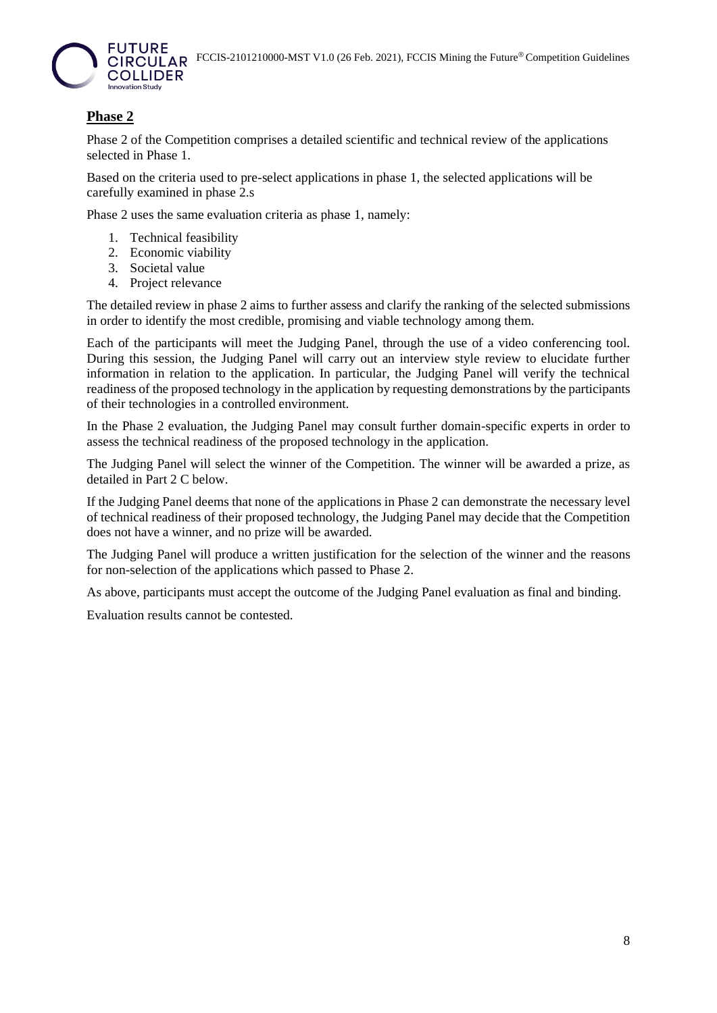

#### **Phase 2**

Phase 2 of the Competition comprises a detailed scientific and technical review of the applications selected in Phase 1.

Based on the criteria used to pre-select applications in phase 1, the selected applications will be carefully examined in phase 2.s

Phase 2 uses the same evaluation criteria as phase 1, namely:

- 1. Technical feasibility
- 2. Economic viability
- 3. Societal value
- 4. Project relevance

The detailed review in phase 2 aims to further assess and clarify the ranking of the selected submissions in order to identify the most credible, promising and viable technology among them.

Each of the participants will meet the Judging Panel, through the use of a video conferencing tool. During this session, the Judging Panel will carry out an interview style review to elucidate further information in relation to the application. In particular, the Judging Panel will verify the technical readiness of the proposed technology in the application by requesting demonstrations by the participants of their technologies in a controlled environment.

In the Phase 2 evaluation, the Judging Panel may consult further domain-specific experts in order to assess the technical readiness of the proposed technology in the application.

The Judging Panel will select the winner of the Competition. The winner will be awarded a prize, as detailed in Part 2 C below.

If the Judging Panel deems that none of the applications in Phase 2 can demonstrate the necessary level of technical readiness of their proposed technology, the Judging Panel may decide that the Competition does not have a winner, and no prize will be awarded.

The Judging Panel will produce a written justification for the selection of the winner and the reasons for non-selection of the applications which passed to Phase 2.

As above, participants must accept the outcome of the Judging Panel evaluation as final and binding.

Evaluation results cannot be contested.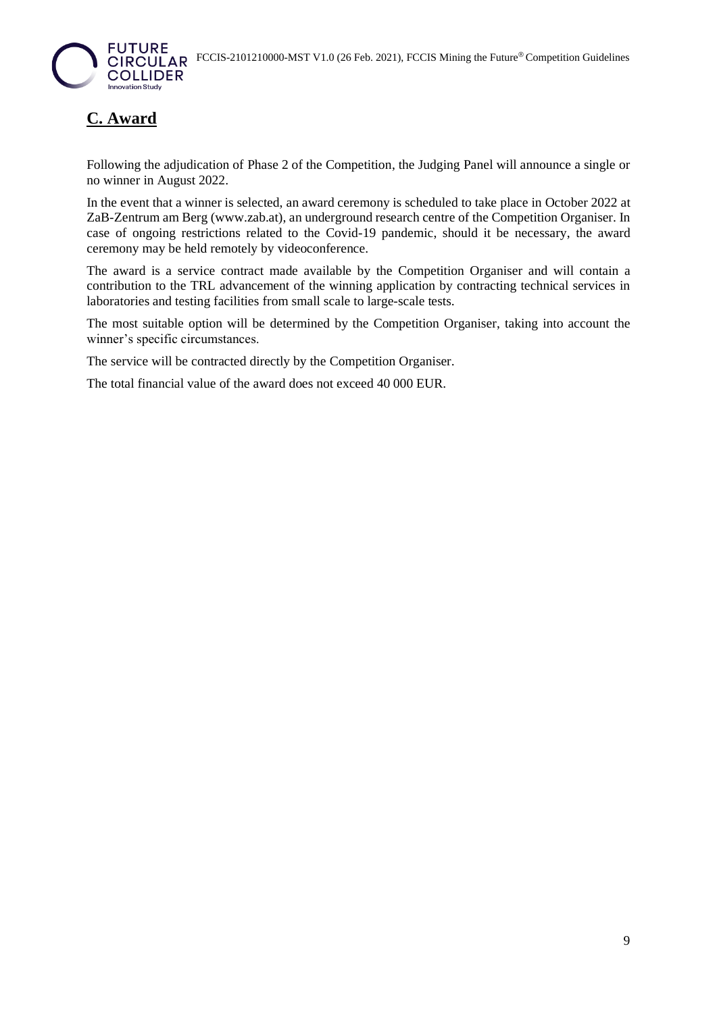

# **C. Award**

Following the adjudication of Phase 2 of the Competition, the Judging Panel will announce a single or no winner in August 2022.

In the event that a winner is selected, an award ceremony is scheduled to take place in October 2022 at ZaB-Zentrum am Berg (www.zab.at), an underground research centre of the Competition Organiser. In case of ongoing restrictions related to the Covid-19 pandemic, should it be necessary, the award ceremony may be held remotely by videoconference.

The award is a service contract made available by the Competition Organiser and will contain a contribution to the TRL advancement of the winning application by contracting technical services in laboratories and testing facilities from small scale to large-scale tests.

The most suitable option will be determined by the Competition Organiser, taking into account the winner's specific circumstances.

The service will be contracted directly by the Competition Organiser.

The total financial value of the award does not exceed 40 000 EUR.